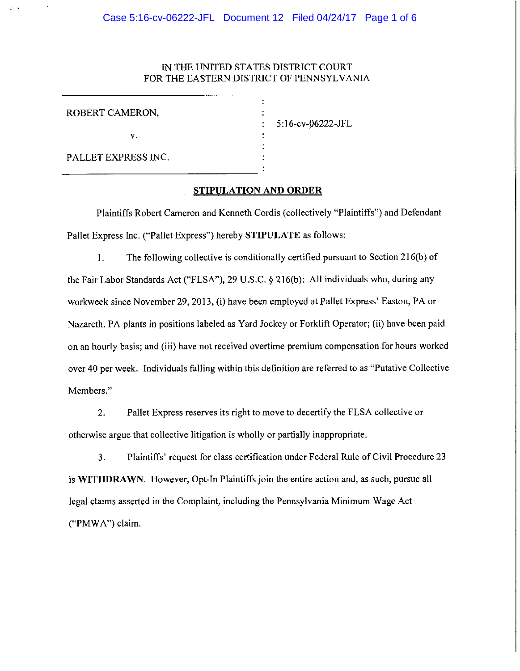### IN THE UNITED STATES DISTRICT COURT FOR THE EASTERN DISTRICT OF PENNSYLVANIA

| ROBERT CAMERON,     |  |
|---------------------|--|
| v.                  |  |
| PALLET EXPRESS INC. |  |

5:16-cv-06222-JFL

## **STIPULATION AND ORDER**

Plaintiffs Robert Cameron and Kenneth Cordis (collectively "Plaintiffs") and Defendant Pallet Express Inc. ("Pallet Express") hereby **STIPULATE** as follows:

I. The following collective is conditionally certified pursuant to Section 216(b) of the Fair Labor Standards Act ("FLSA"), 29 U.S.C. § 216(b): All individuals who, during any workweek since November 29, 2013, (i) have been employed at Pallet Express' Easton, PA or Nazareth, PA plants in positions labeled as Yard Jockey or Forklift Operator; (ii) have been paid on an hourly basis; and (iii) have not received overtime premium compensation for hours worked over 40 per week. Individuals falling within this definition are referred to as "Putative Collective Members."

2. Pallet Express reserves its right to move to decertify the FLSA collective or otherwise argue that collective litigation is wholly or partially inappropriate.

3. Plaintiffs' request for class certification under Federal Rule of Civil Procedure 23 is **WITHDRAWN.** However, Opt-In Plaintiffs join the entire action and, as such, pursue all legal claims asserted in the Complaint, including the Pennsylvania Minimum Wage Act ("PMW A") claim.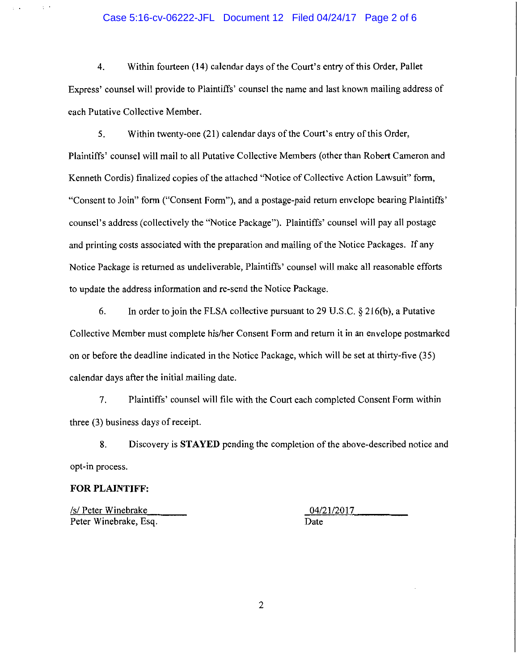#### Case 5:16-cv-06222-JFL Document 12 Filed 04/24/17 Page 2 of 6

4. Within fourteen (14) calendar days of the Court's entry of this Order, Pallet Express' counsel will provide to Plaintiffs' counsel the name and last known mailing address of each Putative Collective Member.

5. Within twenty-one (21) calendar days of the Court's entry of this Order, Plaintiffs' counsel will mail to all Putative Collective Members (other than Robert Cameron and Kenneth Cordis) finalized copies of the attached "Notice of Collective Action Lawsuit" form, "Consent to Join" form ("Consent Form"), and a postage-paid return envelope bearing Plaintiffs' counsel's address (collectively the "Notice Package"). Plaintiffs' counsel will pay all postage and printing costs associated with the preparation and mailing of the Notice Packages. If any Notice Package is returned as undeliverable, Plaintiffs' counsel will make all reasonable efforts to update the address information and re-send the Notice Package.

6. In order to join the FLSA collective pursuant to 29 U.S.C.  $\S 216(b)$ , a Putative Collective Member must complete his/her Consent Form and return it in an envelope postmarked on or before the deadline indicated in the Notice Package, which will be set at thirty-five (35) calendar days after the initial mailing date.

7. Plaintiffs' counsel will file with the Court each completed Consent Form within three (3) business days of receipt.

8. Discovery is **STAYED** pending the completion of the above-described notice and opt-in process.

#### **FOR PLAINTIFF:**

*Isl* Peter Winebrake 04/21/2017 Peter Winebrake, Esq. Date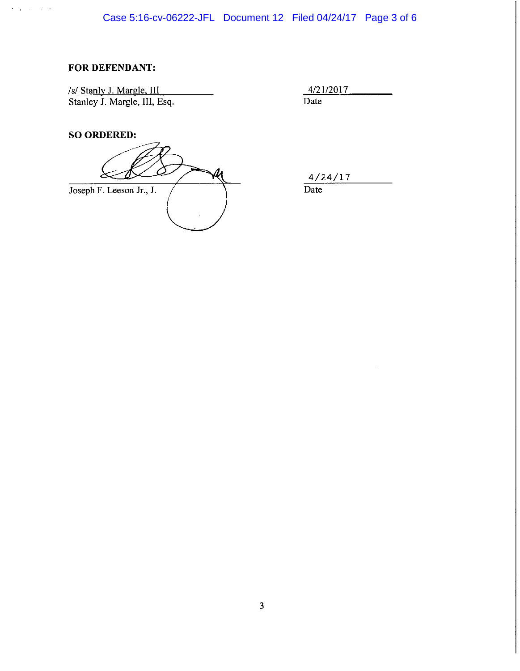# **FOR DEFENDANT:**

 $\frac{1}{2} \left( \frac{1}{2} \right) \left( \frac{1}{2} \right) \left( \frac{1}{2} \right) \left( \frac{1}{2} \right) \left( \frac{1}{2} \right)$ 

<u>Is/Stanly J. Margle, III and the set of the set of  $\frac{4/21/2017}{4}$ </u> Stanley J. Margle, III, Esq. Date

**SO ORDERED:** 

Joseph F. Leeson Jr., J. <u>Date</u>

4/24/17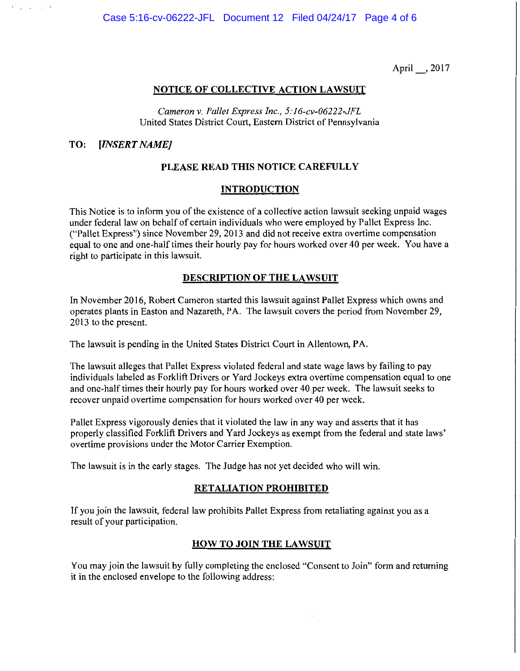April \_, 2017

### **NOTICE OF COLLECTIVE ACTION LAWSUIT**

*Cameron* v. *Pallet Express Inc., 5: J 6-cv-06222-JFL*  United States District Court, Eastern District of Pennsylvania

### **TO:** *[INSERT NAME]*

### **PLEASE READ THIS NOTICE CAREFULLY**

### **INTRODUCTION**

This Notice is to inform you of the existence of a collective action lawsuit seeking unpaid wages under federal law on behalf of certain individuals who were employed by Pallet Express Inc. ("Pallet Express") since November 29, 2013 and did not receive extra overtime compensation equal to one and one-half times their hourly pay for hours worked over 40 per week. You have a right to participate in this lawsuit.

### **DESCRIPTION OF THE LAWSUIT**

In November 2016, Robert Cameron started this lawsuit against Pallet Express which owns and operates plants in Easton and Nazareth, PA. The lawsuit covers the period from November 29, 2013 to the present.

The lawsuit is pending in the United States District Court in Allentown, PA.

The lawsuit alleges that Pallet Express violated federal and state wage laws by failing to pay individuals labeled as Forklift Drivers or Yard Jockeys extra overtime compensation equal to one and one-half times their hourly pay for hours worked over 40 per week. The lawsuit seeks to recover unpaid overtime compensation for hours worked over 40 per week.

Pallet Express vigorously denies that it violated the law in any way and asserts that it has properly classified Forklift Drivers and Yard Jockeys as exempt from the federal and state laws' overtime provisions under the Motor Carrier Exemption.

The lawsuit is in the early stages. The Judge has not yet decided who will win.

#### **RETALIATION PROHIBITED**

If you join the lawsuit, federal law prohibits Pallet Express from retaliating against you as a result of your participation.

#### **HOW TO JOIN THE LAWSUIT**

You may join the lawsuit by fully completing the enclosed "Consent to Join" form and returning it in the enclosed envelope to the following address: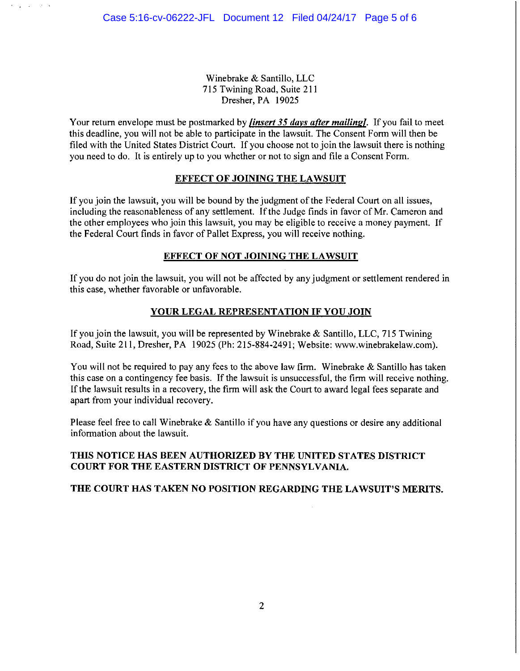**State State** 

10000

Winebrake & Santillo, LLC 715 Twining Road, Suite 211 Dresher, PA 19025

Your return envelope must be postmarked by *[insert 35 davs after mailing/,* If you fail to meet this deadline, you will not be able to participate in the lawsuit. The Consent Form will then be filed with the United States District Court. If you choose not to join the lawsuit there is nothing you need to do. It is entirely up to you whether or not to sign and file a Consent Form.

## EFFECT OF JOINING THE LAWSUIT

If you join the lawsuit, you will be bound by the judgment of the Federal Court on all issues, including the reasonableness of any settlement. If the Judge finds in favor of Mr. Cameron and the other employees who join this lawsuit, you may be eligible to receive a money payment. If the Federal Court finds in favor of Pallet Express, you will receive nothing.

## EFFECT OF NOT JOINING THE LAWSUIT

If you do not join the lawsuit, you will not be affected by any judgment or settlement rendered in this case, whether favorable or unfavorable.

## YOUR LEGAL REPRESENTATION IF YOU JOIN

If you join the lawsuit, you will be represented by Winebrake & Santillo, LLC, 715 Twining Road, Suite 211, Dresher, PA 19025 (Ph: 215-884-2491; Website: www.winebrakelaw.com).

You will not be required to pay any fees to the above law firm. Winebrake & Santillo has taken this case on a contingency fee basis. If the lawsuit is unsuccessful, the firm will receive nothing. If the lawsuit results in a recovery, the firm will ask the Court to award legal fees separate and apart from your individual recovery.

Please feel free to call Winebrake & Santillo if you have any questions or desire any additional information about the lawsuit.

## THIS NOTICE HAS BEEN AUTHORIZED BY THE UNITED STATES DISTRICT COURT FOR THE EASTERN DISTRICT OF PENNSYLVANIA.

### THE COURT HAS TAKEN NO POSITION REGARDING THE LAWSUIT'S MERITS.